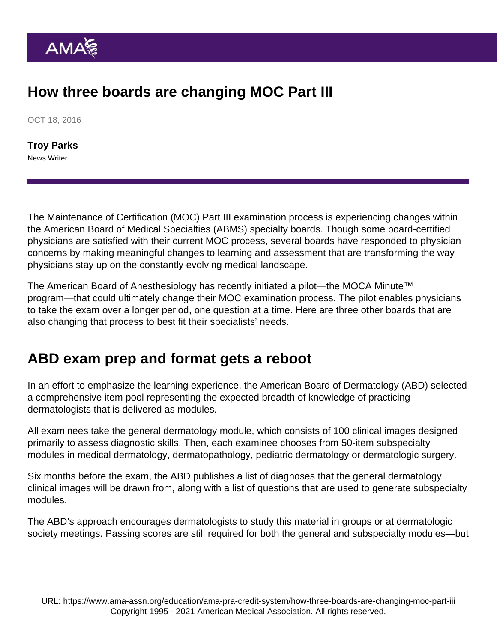# How three boards are changing MOC Part III

OCT 18, 2016

[Troy Parks](https://www.ama-assn.org/news-leadership-viewpoints/authors-news-leadership-viewpoints/troy-parks) News Writer

The Maintenance of Certification (MOC) Part III examination process is experiencing changes within the American Board of Medical Specialties (ABMS) specialty boards. Though some board-certified physicians are satisfied with their current MOC process, several boards have responded to physician concerns by making meaningful changes to learning and assessment that are transforming the way physicians stay up on the constantly evolving medical landscape.

The American Board of Anesthesiology has recently initiated a [pilot—the MOCA Minute™](https://www.ama-assn.org/education/cme/how-physician-input-changing-moc) [program—that could ultimately change their MOC examination process.](https://www.ama-assn.org/education/cme/how-physician-input-changing-moc) The pilot enables physicians to take the exam over a longer period, one question at a time. Here are three other boards that are also changing that process to best fit their specialists' needs.

### ABD exam prep and format gets a reboot

In an effort to emphasize the learning experience, the American Board of Dermatology (ABD) selected a comprehensive item pool representing the expected breadth of knowledge of practicing dermatologists that is delivered as modules.

All examinees take the general dermatology module, which consists of 100 clinical images designed primarily to assess diagnostic skills. Then, each examinee chooses from 50-item subspecialty modules in medical dermatology, dermatopathology, pediatric dermatology or dermatologic surgery.

Six months before the exam, the ABD publishes a list of diagnoses that the general dermatology clinical images will be drawn from, along with a list of questions that are used to generate subspecialty modules.

The ABD's approach encourages dermatologists to study this material in groups or at dermatologic society meetings. Passing scores are still required for both the general and subspecialty modules—but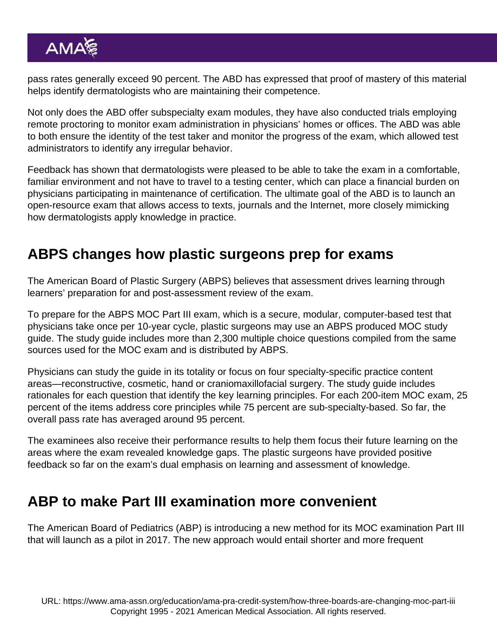pass rates generally exceed 90 percent. The ABD has expressed that proof of mastery of this material helps identify dermatologists who are maintaining their competence.

Not only does the ABD offer subspecialty exam modules, they have also conducted trials employing remote proctoring to monitor exam administration in physicians' homes or offices. The ABD was able to both ensure the identity of the test taker and monitor the progress of the exam, which allowed test administrators to identify any irregular behavior.

Feedback has shown that dermatologists were pleased to be able to take the exam in a comfortable, familiar environment and not have to travel to a testing center, which can place a financial burden on physicians participating in maintenance of certification. The ultimate goal of the ABD is to launch an open-resource exam that allows access to texts, journals and the Internet, more closely mimicking how dermatologists apply knowledge in practice.

## ABPS changes how plastic surgeons prep for exams

The American Board of Plastic Surgery (ABPS) believes that assessment drives learning through learners' preparation for and post-assessment review of the exam.

To prepare for the ABPS MOC Part III exam, which is a secure, modular, computer-based test that physicians take once per 10-year cycle, plastic surgeons may use an ABPS produced MOC study guide. The study guide includes more than 2,300 multiple choice questions compiled from the same sources used for the MOC exam and is distributed by ABPS.

Physicians can study the guide in its totality or focus on four specialty-specific practice content areas—reconstructive, cosmetic, hand or craniomaxillofacial surgery. The study guide includes rationales for each question that identify the key learning principles. For each 200-item MOC exam, 25 percent of the items address core principles while 75 percent are sub-specialty-based. So far, the overall pass rate has averaged around 95 percent.

The examinees also receive their performance results to help them focus their future learning on the areas where the exam revealed knowledge gaps. The plastic surgeons have provided positive feedback so far on the exam's dual emphasis on learning and assessment of knowledge.

## ABP to make Part III examination more convenient

The American Board of Pediatrics (ABP) is introducing a new method for its MOC examination Part III that will launch as a pilot in 2017. The new approach would entail shorter and more frequent